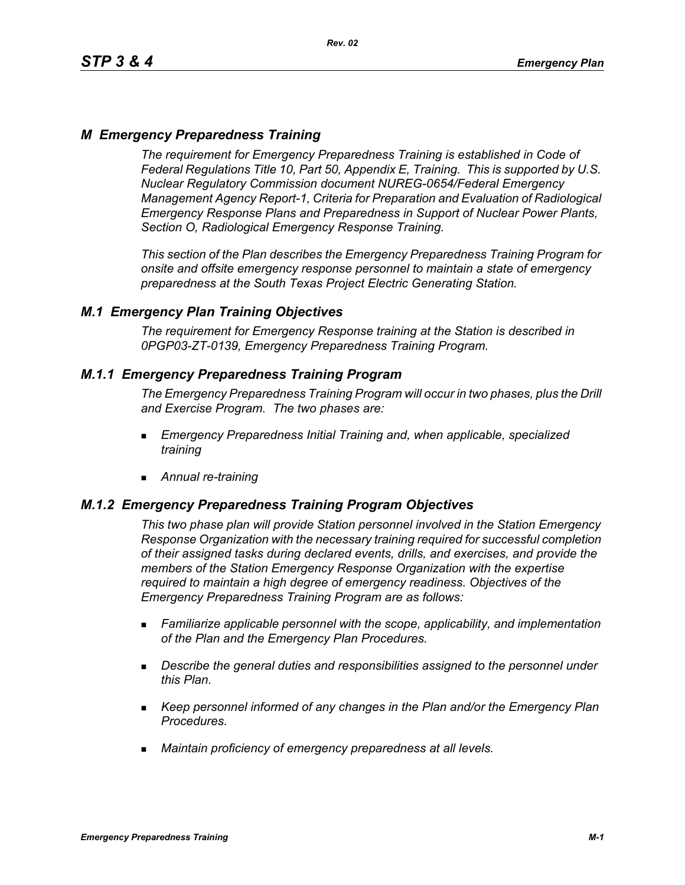# *M Emergency Preparedness Training*

*The requirement for Emergency Preparedness Training is established in Code of Federal Regulations Title 10, Part 50, Appendix E, Training. This is supported by U.S. Nuclear Regulatory Commission document NUREG-0654/Federal Emergency Management Agency Report-1, Criteria for Preparation and Evaluation of Radiological Emergency Response Plans and Preparedness in Support of Nuclear Power Plants, Section O, Radiological Emergency Response Training.*

*This section of the Plan describes the Emergency Preparedness Training Program for onsite and offsite emergency response personnel to maintain a state of emergency preparedness at the South Texas Project Electric Generating Station.*

## *M.1 Emergency Plan Training Objectives*

*The requirement for Emergency Response training at the Station is described in 0PGP03-ZT-0139, Emergency Preparedness Training Program.*

## *M.1.1 Emergency Preparedness Training Program*

*The Emergency Preparedness Training Program will occur in two phases, plus the Drill and Exercise Program. The two phases are:*

- *Emergency Preparedness Initial Training and, when applicable, specialized training*
- *Annual re-training*

## *M.1.2 Emergency Preparedness Training Program Objectives*

*This two phase plan will provide Station personnel involved in the Station Emergency Response Organization with the necessary training required for successful completion of their assigned tasks during declared events, drills, and exercises, and provide the members of the Station Emergency Response Organization with the expertise required to maintain a high degree of emergency readiness. Objectives of the Emergency Preparedness Training Program are as follows:*

- *Familiarize applicable personnel with the scope, applicability, and implementation of the Plan and the Emergency Plan Procedures.*
- *Describe the general duties and responsibilities assigned to the personnel under this Plan.*
- *Keep personnel informed of any changes in the Plan and/or the Emergency Plan Procedures.*
- *Maintain proficiency of emergency preparedness at all levels.*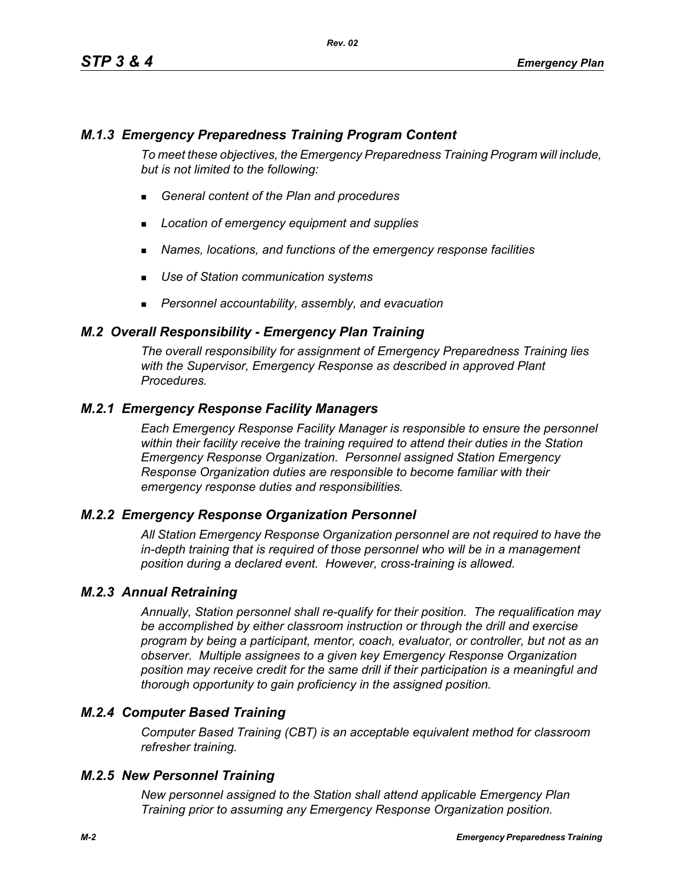# *M.1.3 Emergency Preparedness Training Program Content*

*To meet these objectives, the Emergency Preparedness Training Program will include, but is not limited to the following:*

- *General content of the Plan and procedures*
- *Location of emergency equipment and supplies*
- *Names, locations, and functions of the emergency response facilities*
- *Use of Station communication systems*
- *Personnel accountability, assembly, and evacuation*

#### *M.2 Overall Responsibility - Emergency Plan Training*

*The overall responsibility for assignment of Emergency Preparedness Training lies with the Supervisor, Emergency Response as described in approved Plant Procedures.*

## *M.2.1 Emergency Response Facility Managers*

*Each Emergency Response Facility Manager is responsible to ensure the personnel within their facility receive the training required to attend their duties in the Station Emergency Response Organization. Personnel assigned Station Emergency Response Organization duties are responsible to become familiar with their emergency response duties and responsibilities.*

#### *M.2.2 Emergency Response Organization Personnel*

*All Station Emergency Response Organization personnel are not required to have the in-depth training that is required of those personnel who will be in a management position during a declared event. However, cross-training is allowed.*

#### *M.2.3 Annual Retraining*

*Annually, Station personnel shall re-qualify for their position. The requalification may be accomplished by either classroom instruction or through the drill and exercise program by being a participant, mentor, coach, evaluator, or controller, but not as an observer. Multiple assignees to a given key Emergency Response Organization position may receive credit for the same drill if their participation is a meaningful and thorough opportunity to gain proficiency in the assigned position.*

## *M.2.4 Computer Based Training*

*Computer Based Training (CBT) is an acceptable equivalent method for classroom refresher training.*

#### *M.2.5 New Personnel Training*

*New personnel assigned to the Station shall attend applicable Emergency Plan Training prior to assuming any Emergency Response Organization position.*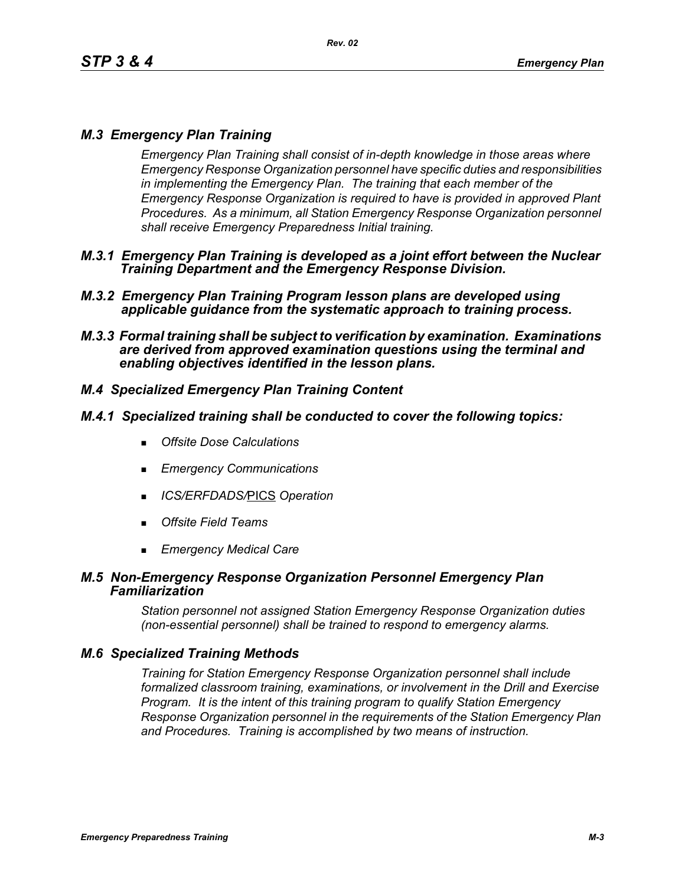# *M.3 Emergency Plan Training*

*Emergency Plan Training shall consist of in-depth knowledge in those areas where Emergency Response Organization personnel have specific duties and responsibilities in implementing the Emergency Plan. The training that each member of the Emergency Response Organization is required to have is provided in approved Plant Procedures. As a minimum, all Station Emergency Response Organization personnel shall receive Emergency Preparedness Initial training.*

- *M.3.1 Emergency Plan Training is developed as a joint effort between the Nuclear Training Department and the Emergency Response Division.*
- *M.3.2 Emergency Plan Training Program lesson plans are developed using applicable guidance from the systematic approach to training process.*
- *M.3.3 Formal training shall be subject to verification by examination. Examinations are derived from approved examination questions using the terminal and enabling objectives identified in the lesson plans.*

# *M.4 Specialized Emergency Plan Training Content*

## *M.4.1 Specialized training shall be conducted to cover the following topics:*

- *Offsite Dose Calculations*
- *Emergency Communications*
- *ICS/ERFDADS/*PICS *Operation*
- *Offsite Field Teams*
- *Emergency Medical Care*

#### *M.5 Non-Emergency Response Organization Personnel Emergency Plan Familiarization*

*Station personnel not assigned Station Emergency Response Organization duties (non-essential personnel) shall be trained to respond to emergency alarms.*

## *M.6 Specialized Training Methods*

*Training for Station Emergency Response Organization personnel shall include formalized classroom training, examinations, or involvement in the Drill and Exercise Program. It is the intent of this training program to qualify Station Emergency Response Organization personnel in the requirements of the Station Emergency Plan and Procedures. Training is accomplished by two means of instruction.*